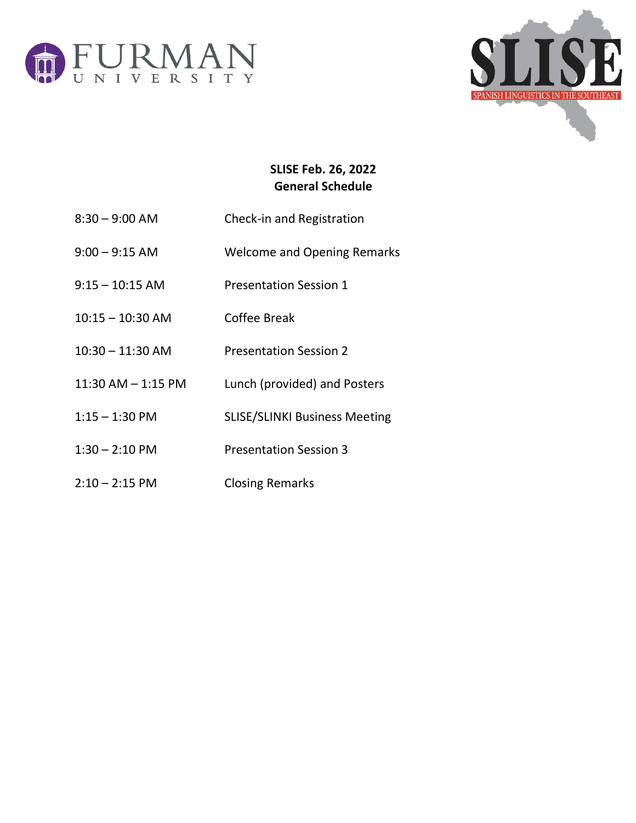



## **SLISE Feb. 26, 2022 General Schedule**

- 8:30 9:00 AM Check-in and Registration
- 9:00 9:15 AM Welcome and Opening Remarks
- 9:15 10:15 AM Presentation Session 1
- 10:15 10:30 AM Coffee Break
- 10:30 11:30 AM Presentation Session 2
- 11:30 AM 1:15 PM Lunch (provided) and Posters
- 1:15 1:30 PM SLISE/SLINKI Business Meeting
- 1:30 2:10 PM Presentation Session 3
- 2:10 2:15 PM Closing Remarks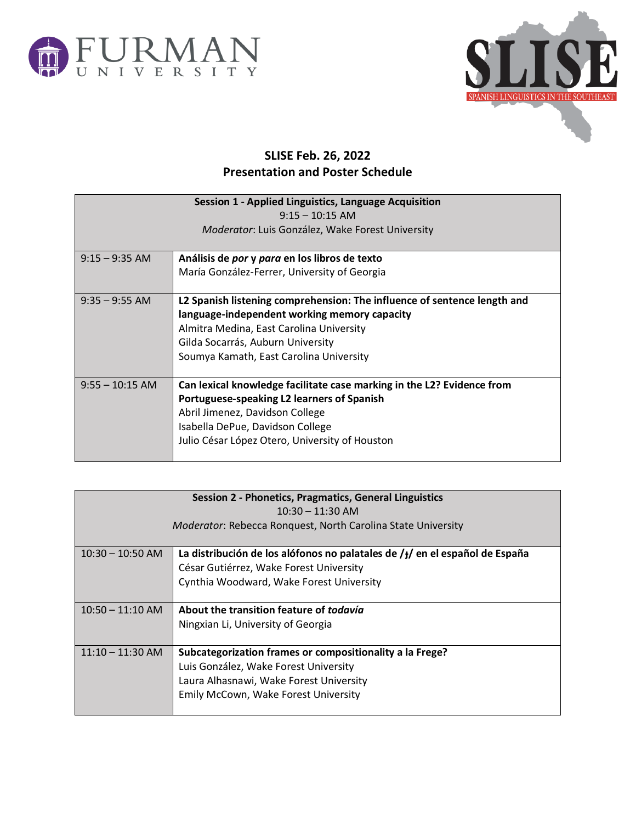



## **SLISE Feb. 26, 2022 Presentation and Poster Schedule**

| Session 1 - Applied Linguistics, Language Acquisition<br>$9:15 - 10:15$ AM |                                                                                                                                                                                                                                                      |  |
|----------------------------------------------------------------------------|------------------------------------------------------------------------------------------------------------------------------------------------------------------------------------------------------------------------------------------------------|--|
| Moderator: Luis González, Wake Forest University                           |                                                                                                                                                                                                                                                      |  |
| $9:15 - 9:35$ AM                                                           | Análisis de por y para en los libros de texto<br>María González-Ferrer, University of Georgia                                                                                                                                                        |  |
| $9:35 - 9:55$ AM                                                           | L2 Spanish listening comprehension: The influence of sentence length and<br>language-independent working memory capacity<br>Almitra Medina, East Carolina University<br>Gilda Socarrás, Auburn University<br>Soumya Kamath, East Carolina University |  |
| $9:55 - 10:15$ AM                                                          | Can lexical knowledge facilitate case marking in the L2? Evidence from<br>Portuguese-speaking L2 learners of Spanish<br>Abril Jimenez, Davidson College<br>Isabella DePue, Davidson College<br>Julio César López Otero, University of Houston        |  |

| Session 2 - Phonetics, Pragmatics, General Linguistics              |                                                                              |  |
|---------------------------------------------------------------------|------------------------------------------------------------------------------|--|
| $10:30 - 11:30$ AM                                                  |                                                                              |  |
| <b>Moderator: Rebecca Ronquest, North Carolina State University</b> |                                                                              |  |
|                                                                     |                                                                              |  |
| $10:30 - 10:50$ AM                                                  | La distribución de los alófonos no palatales de $/y$ en el español de España |  |
|                                                                     | César Gutiérrez, Wake Forest University                                      |  |
|                                                                     | Cynthia Woodward, Wake Forest University                                     |  |
|                                                                     |                                                                              |  |
| $10:50 - 11:10$ AM                                                  | About the transition feature of todavía                                      |  |
|                                                                     | Ningxian Li, University of Georgia                                           |  |
|                                                                     |                                                                              |  |
| $11:10 - 11:30$ AM                                                  | Subcategorization frames or compositionality a la Frege?                     |  |
|                                                                     | Luis González, Wake Forest University                                        |  |
|                                                                     | Laura Alhasnawi, Wake Forest University                                      |  |
|                                                                     | Emily McCown, Wake Forest University                                         |  |
|                                                                     |                                                                              |  |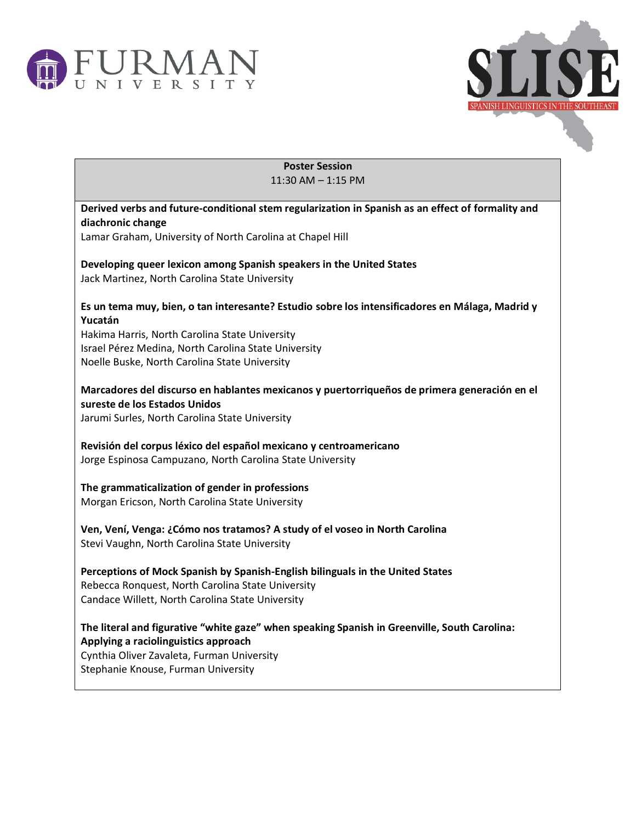



**Poster Session** 11:30 AM – 1:15 PM

| Derived verbs and future-conditional stem regularization in Spanish as an effect of formality and<br>diachronic change         |
|--------------------------------------------------------------------------------------------------------------------------------|
| Lamar Graham, University of North Carolina at Chapel Hill                                                                      |
|                                                                                                                                |
| Developing queer lexicon among Spanish speakers in the United States                                                           |
| Jack Martinez, North Carolina State University                                                                                 |
| Es un tema muy, bien, o tan interesante? Estudio sobre los intensificadores en Málaga, Madrid y                                |
| Yucatán                                                                                                                        |
| Hakima Harris, North Carolina State University                                                                                 |
| Israel Pérez Medina, North Carolina State University                                                                           |
| Noelle Buske, North Carolina State University                                                                                  |
| Marcadores del discurso en hablantes mexicanos y puertorriqueños de primera generación en el                                   |
| sureste de los Estados Unidos                                                                                                  |
| Jarumi Surles, North Carolina State University                                                                                 |
|                                                                                                                                |
| Revisión del corpus léxico del español mexicano y centroamericano<br>Jorge Espinosa Campuzano, North Carolina State University |
|                                                                                                                                |
| The grammaticalization of gender in professions                                                                                |
| Morgan Ericson, North Carolina State University                                                                                |
|                                                                                                                                |
| Ven, Vení, Venga: ¿Cómo nos tratamos? A study of el voseo in North Carolina<br>Stevi Vaughn, North Carolina State University   |
|                                                                                                                                |
| Perceptions of Mock Spanish by Spanish-English bilinguals in the United States                                                 |
| Rebecca Ronquest, North Carolina State University                                                                              |
| Candace Willett, North Carolina State University                                                                               |
| The literal and figurative "white gaze" when speaking Spanish in Greenville, South Carolina:                                   |
| Applying a raciolinguistics approach                                                                                           |
| Cynthia Oliver Zavaleta, Furman University                                                                                     |
| Stephanie Knouse, Furman University                                                                                            |
|                                                                                                                                |